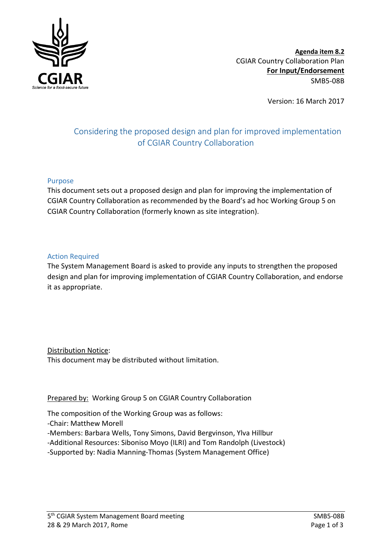

**Agenda item 8.2**  CGIAR Country Collaboration Plan **For Input/Endorsement** SMB5-08B

Version: 16 March 2017

## Considering the proposed design and plan for improved implementation of CGIAR Country Collaboration

## Purpose

This document sets out a proposed design and plan for improving the implementation of CGIAR Country Collaboration as recommended by the Board's ad hoc Working Group 5 on CGIAR Country Collaboration (formerly known as site integration).

## Action Required

The System Management Board is asked to provide any inputs to strengthen the proposed design and plan for improving implementation of CGIAR Country Collaboration, and endorse it as appropriate.

Distribution Notice: This document may be distributed without limitation.

Prepared by: Working Group 5 on CGIAR Country Collaboration

The composition of the Working Group was as follows:

-Chair: Matthew Morell

-Members: Barbara Wells, Tony Simons, David Bergvinson, Ylva Hillbur

-Additional Resources: Siboniso Moyo (ILRI) and Tom Randolph (Livestock)

-Supported by: Nadia Manning-Thomas (System Management Office)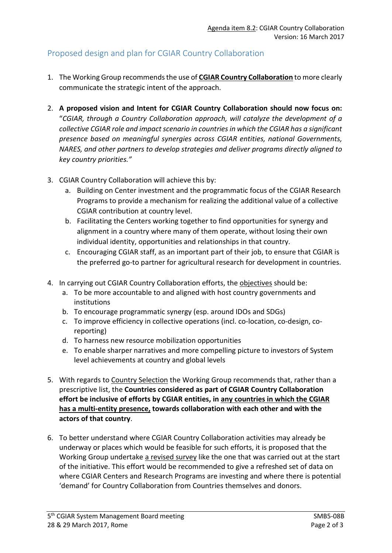## Proposed design and plan for CGIAR Country Collaboration

- 1. The Working Group recommends the use of **CGIAR Country Collaboration** to more clearly communicate the strategic intent of the approach.
- 2. **A proposed vision and Intent for CGIAR Country Collaboration should now focus on:** "*CGIAR, through a Country Collaboration approach, will catalyze the development of a collective CGIAR role and impact scenario in countries in which the CGIAR has a significant presence based on meaningful synergies across CGIAR entities, national Governments, NARES, and other partners to develop strategies and deliver programs directly aligned to key country priorities."*
- 3. CGIAR Country Collaboration will achieve this by:
	- a. Building on Center investment and the programmatic focus of the CGIAR Research Programs to provide a mechanism for realizing the additional value of a collective CGIAR contribution at country level.
	- b. Facilitating the Centers working together to find opportunities for synergy and alignment in a country where many of them operate, without losing their own individual identity, opportunities and relationships in that country.
	- c. Encouraging CGIAR staff, as an important part of their job, to ensure that CGIAR is the preferred go-to partner for agricultural research for development in countries.
- 4. In carrying out CGIAR Country Collaboration efforts, the objectives should be:
	- a. To be more accountable to and aligned with host country governments and institutions
	- b. To encourage programmatic synergy (esp. around IDOs and SDGs)
	- c. To improve efficiency in collective operations (incl. co-location, co-design, coreporting)
	- d. To harness new resource mobilization opportunities
	- e. To enable sharper narratives and more compelling picture to investors of System level achievements at country and global levels
- 5. With regards to Country Selection the Working Group recommends that, rather than a prescriptive list, the **Countries considered as part of CGIAR Country Collaboration effort be inclusive of efforts by CGIAR entities, in any countries in which the CGIAR has a multi-entity presence, towards collaboration with each other and with the actors of that country**.
- 6. To better understand where CGIAR Country Collaboration activities may already be underway or places which would be feasible for such efforts, it is proposed that the Working Group undertake a revised survey like the one that was carried out at the start of the initiative. This effort would be recommended to give a refreshed set of data on where CGIAR Centers and Research Programs are investing and where there is potential 'demand' for Country Collaboration from Countries themselves and donors.